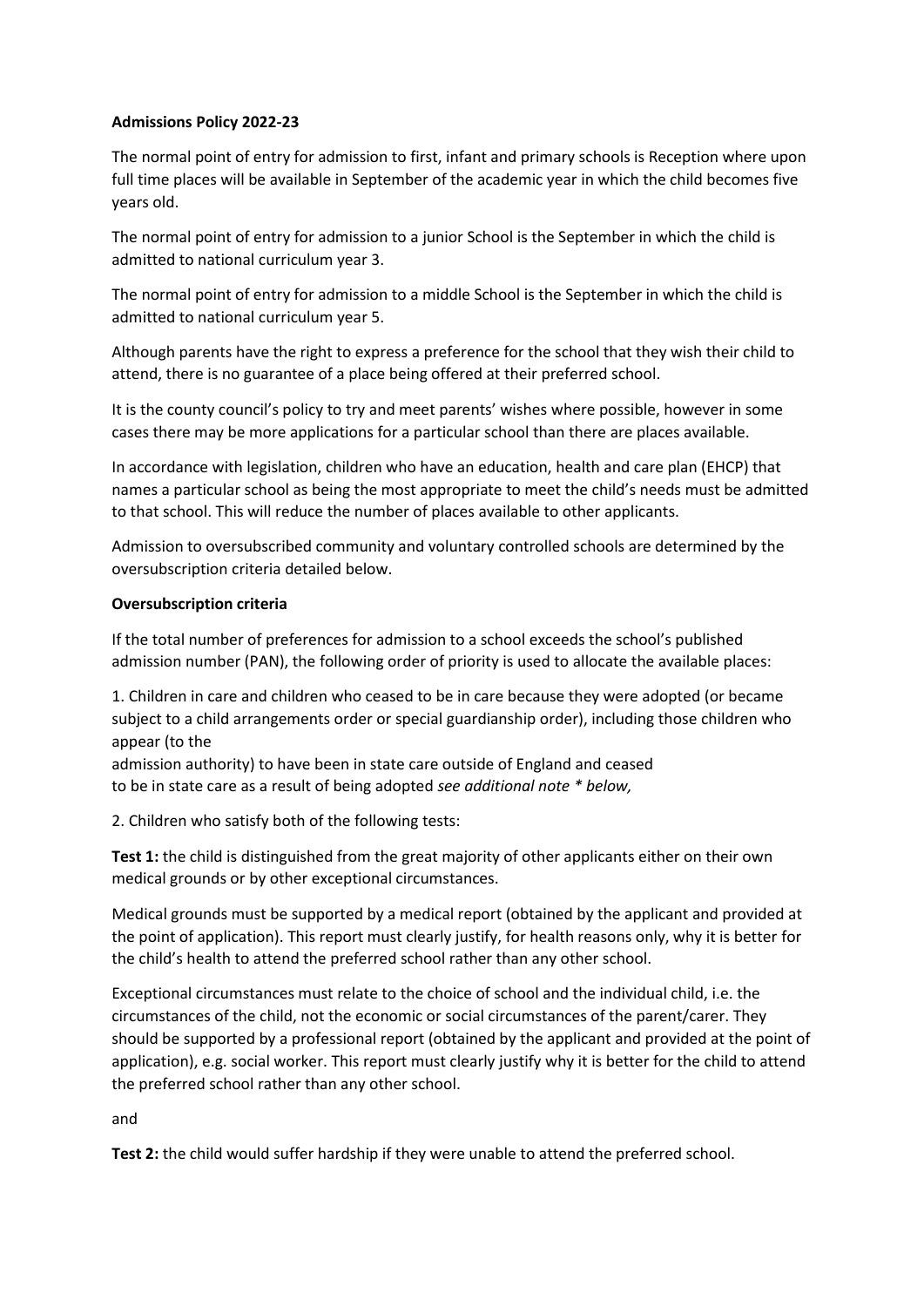## **Admissions Policy 2022-23**

The normal point of entry for admission to first, infant and primary schools is Reception where upon full time places will be available in September of the academic year in which the child becomes five years old.

The normal point of entry for admission to a junior School is the September in which the child is admitted to national curriculum year 3.

The normal point of entry for admission to a middle School is the September in which the child is admitted to national curriculum year 5.

Although parents have the right to express a preference for the school that they wish their child to attend, there is no guarantee of a place being offered at their preferred school.

It is the county council's policy to try and meet parents' wishes where possible, however in some cases there may be more applications for a particular school than there are places available.

In accordance with legislation, children who have an education, health and care plan (EHCP) that names a particular school as being the most appropriate to meet the child's needs must be admitted to that school. This will reduce the number of places available to other applicants.

Admission to oversubscribed community and voluntary controlled schools are determined by the oversubscription criteria detailed below.

#### **Oversubscription criteria**

If the total number of preferences for admission to a school exceeds the school's published admission number (PAN), the following order of priority is used to allocate the available places:

1. Children in care and children who ceased to be in care because they were adopted (or became subject to a child arrangements order or special guardianship order), including those children who appear (to the

admission authority) to have been in state care outside of England and ceased to be in state care as a result of being adopted *see additional note \* below,*

2. Children who satisfy both of the following tests:

**Test 1:** the child is distinguished from the great majority of other applicants either on their own medical grounds or by other exceptional circumstances.

Medical grounds must be supported by a medical report (obtained by the applicant and provided at the point of application). This report must clearly justify, for health reasons only, why it is better for the child's health to attend the preferred school rather than any other school.

Exceptional circumstances must relate to the choice of school and the individual child, i.e. the circumstances of the child, not the economic or social circumstances of the parent/carer. They should be supported by a professional report (obtained by the applicant and provided at the point of application), e.g. social worker. This report must clearly justify why it is better for the child to attend the preferred school rather than any other school.

and

**Test 2:** the child would suffer hardship if they were unable to attend the preferred school.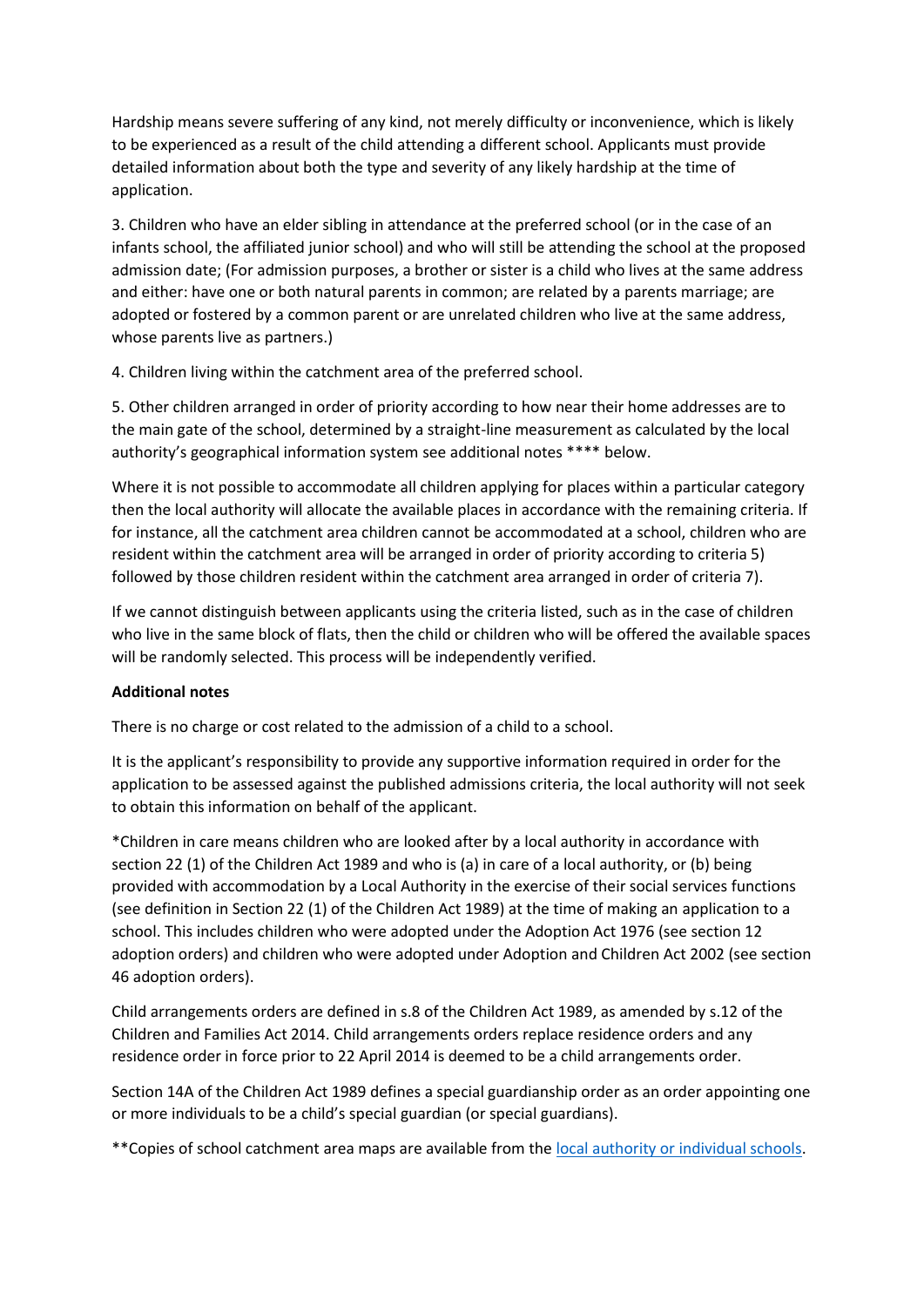Hardship means severe suffering of any kind, not merely difficulty or inconvenience, which is likely to be experienced as a result of the child attending a different school. Applicants must provide detailed information about both the type and severity of any likely hardship at the time of application.

3. Children who have an elder sibling in attendance at the preferred school (or in the case of an infants school, the affiliated junior school) and who will still be attending the school at the proposed admission date; (For admission purposes, a brother or sister is a child who lives at the same address and either: have one or both natural parents in common; are related by a parents marriage; are adopted or fostered by a common parent or are unrelated children who live at the same address, whose parents live as partners.)

4. Children living within the catchment area of the preferred school.

5. Other children arranged in order of priority according to how near their home addresses are to the main gate of the school, determined by a straight-line measurement as calculated by the local authority's geographical information system see additional notes \*\*\*\* below.

Where it is not possible to accommodate all children applying for places within a particular category then the local authority will allocate the available places in accordance with the remaining criteria. If for instance, all the catchment area children cannot be accommodated at a school, children who are resident within the catchment area will be arranged in order of priority according to criteria 5) followed by those children resident within the catchment area arranged in order of criteria 7).

If we cannot distinguish between applicants using the criteria listed, such as in the case of children who live in the same block of flats, then the child or children who will be offered the available spaces will be randomly selected. This process will be independently verified.

#### **Additional notes**

There is no charge or cost related to the admission of a child to a school.

It is the applicant's responsibility to provide any supportive information required in order for the application to be assessed against the published admissions criteria, the local authority will not seek to obtain this information on behalf of the applicant.

\*Children in care means children who are looked after by a local authority in accordance with section 22 (1) of the Children Act 1989 and who is (a) in care of a local authority, or (b) being provided with accommodation by a Local Authority in the exercise of their social services functions (see definition in Section 22 (1) of the Children Act 1989) at the time of making an application to a school. This includes children who were adopted under the Adoption Act 1976 (see section 12 adoption orders) and children who were adopted under Adoption and Children Act 2002 (see section 46 adoption orders).

Child arrangements orders are defined in s.8 of the Children Act 1989, as amended by s.12 of the Children and Families Act 2014. Child arrangements orders replace residence orders and any residence order in force prior to 22 April 2014 is deemed to be a child arrangements order.

Section 14A of the Children Act 1989 defines a special guardianship order as an order appointing one or more individuals to be a child's special guardian (or special guardians).

\*\*Copies of school catchment area maps are available from the [local authority or individual schools](https://www.staffordshire.gov.uk/Education/Admissions-primary/Catchment-areas.aspx)[.](http://www.staffordshire.gov.uk/Education/Admissions-primary/Catchment-areas.aspx)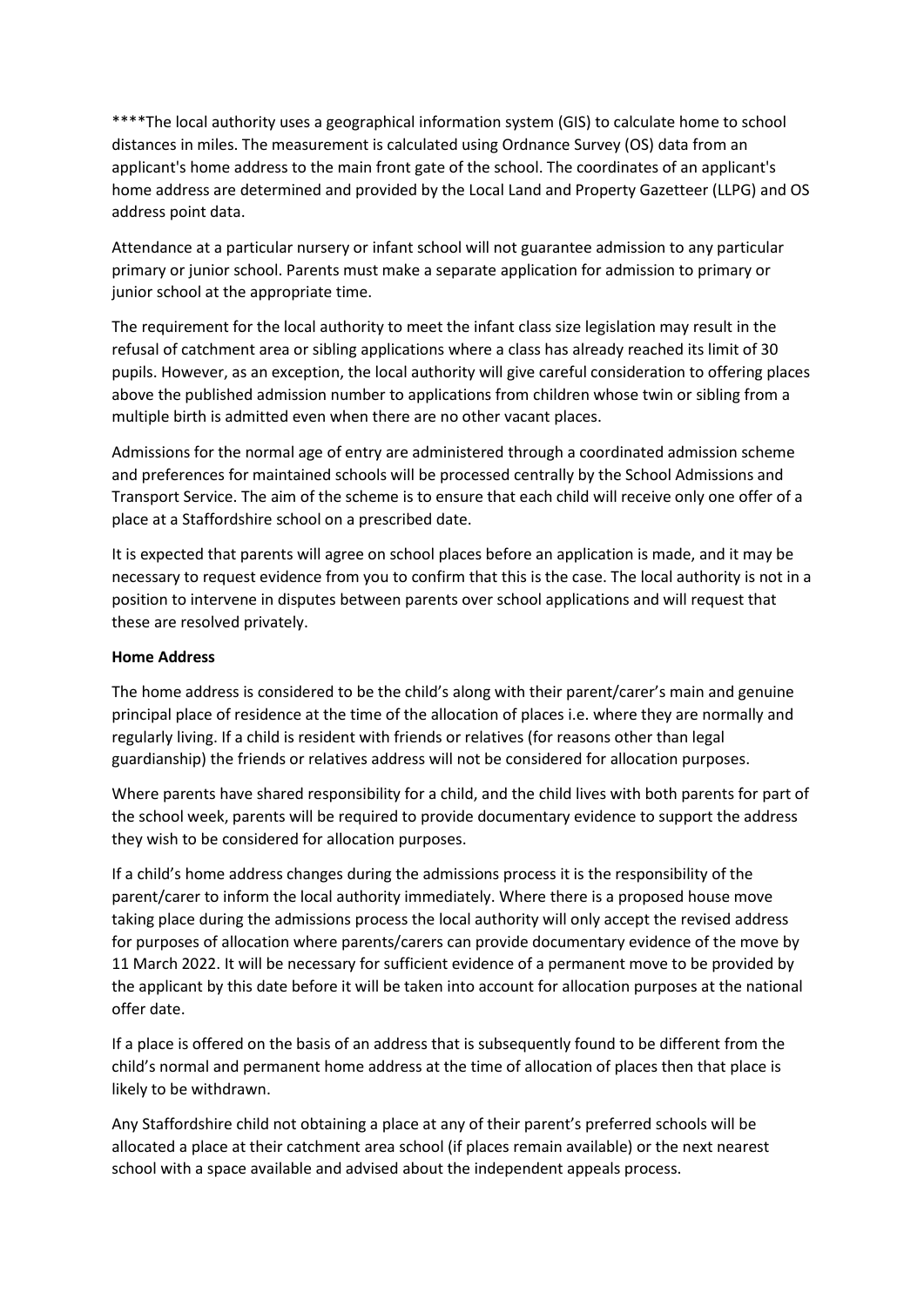\*\*\*\*The local authority uses a geographical information system (GIS) to calculate home to school distances in miles. The measurement is calculated using Ordnance Survey (OS) data from an applicant's home address to the main front gate of the school. The coordinates of an applicant's home address are determined and provided by the Local Land and Property Gazetteer (LLPG) and OS address point data.

Attendance at a particular nursery or infant school will not guarantee admission to any particular primary or junior school. Parents must make a separate application for admission to primary or junior school at the appropriate time.

The requirement for the local authority to meet the infant class size legislation may result in the refusal of catchment area or sibling applications where a class has already reached its limit of 30 pupils. However, as an exception, the local authority will give careful consideration to offering places above the published admission number to applications from children whose twin or sibling from a multiple birth is admitted even when there are no other vacant places.

Admissions for the normal age of entry are administered through a coordinated admission scheme and preferences for maintained schools will be processed centrally by the School Admissions and Transport Service. The aim of the scheme is to ensure that each child will receive only one offer of a place at a Staffordshire school on a prescribed date.

It is expected that parents will agree on school places before an application is made, and it may be necessary to request evidence from you to confirm that this is the case. The local authority is not in a position to intervene in disputes between parents over school applications and will request that these are resolved privately.

#### **Home Address**

The home address is considered to be the child's along with their parent/carer's main and genuine principal place of residence at the time of the allocation of places i.e. where they are normally and regularly living. If a child is resident with friends or relatives (for reasons other than legal guardianship) the friends or relatives address will not be considered for allocation purposes.

Where parents have shared responsibility for a child, and the child lives with both parents for part of the school week, parents will be required to provide documentary evidence to support the address they wish to be considered for allocation purposes.

If a child's home address changes during the admissions process it is the responsibility of the parent/carer to inform the local authority immediately. Where there is a proposed house move taking place during the admissions process the local authority will only accept the revised address for purposes of allocation where parents/carers can provide documentary evidence of the move by 11 March 2022. It will be necessary for sufficient evidence of a permanent move to be provided by the applicant by this date before it will be taken into account for allocation purposes at the national offer date.

If a place is offered on the basis of an address that is subsequently found to be different from the child's normal and permanent home address at the time of allocation of places then that place is likely to be withdrawn.

Any Staffordshire child not obtaining a place at any of their parent's preferred schools will be allocated a place at their catchment area school (if places remain available) or the next nearest school with a space available and advised about the independent appeals process.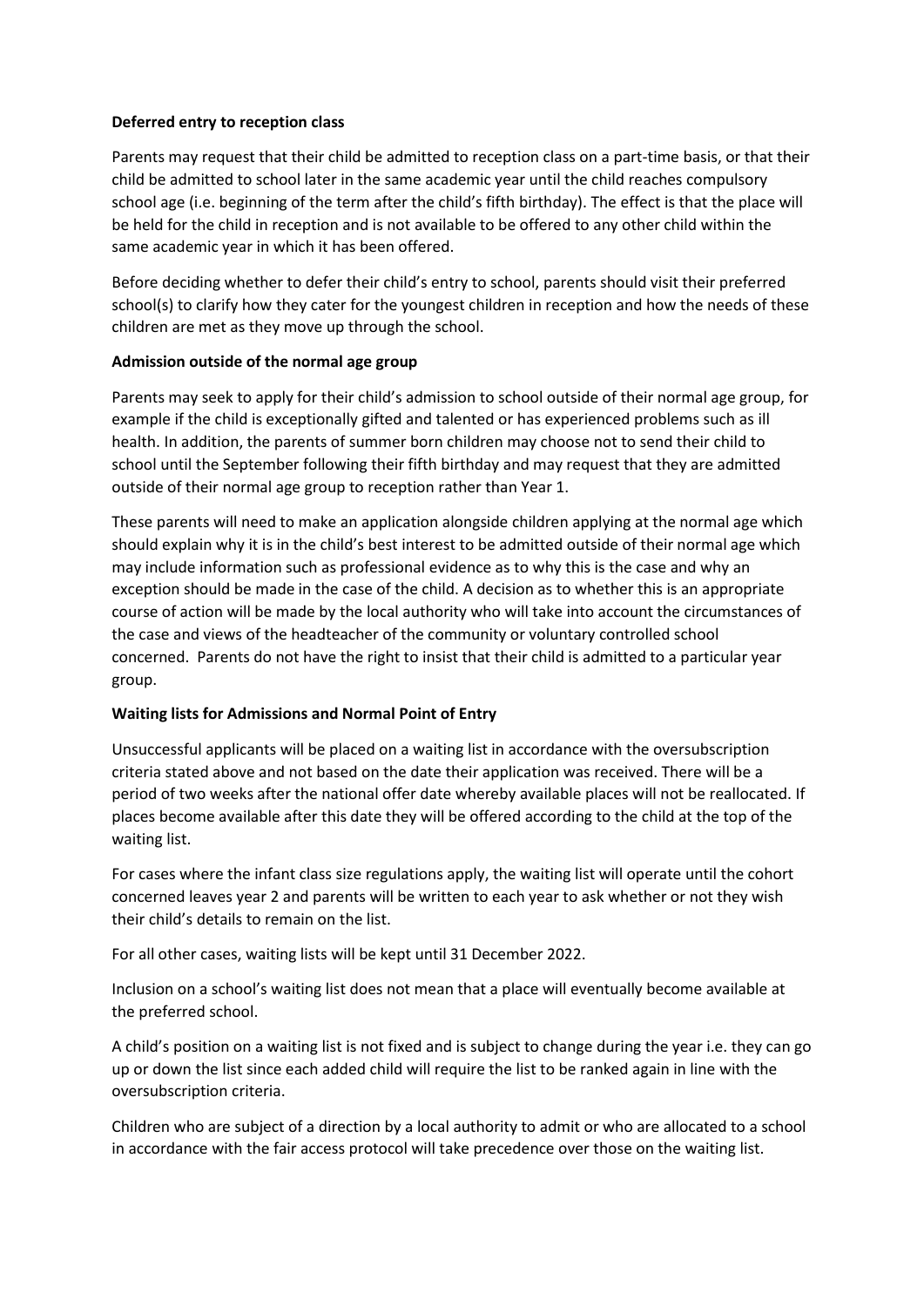## **Deferred entry to reception class**

Parents may request that their child be admitted to reception class on a part-time basis, or that their child be admitted to school later in the same academic year until the child reaches compulsory school age (i.e. beginning of the term after the child's fifth birthday). The effect is that the place will be held for the child in reception and is not available to be offered to any other child within the same academic year in which it has been offered.

Before deciding whether to defer their child's entry to school, parents should visit their preferred school(s) to clarify how they cater for the youngest children in reception and how the needs of these children are met as they move up through the school.

## **Admission outside of the normal age group**

Parents may seek to apply for their child's admission to school outside of their normal age group, for example if the child is exceptionally gifted and talented or has experienced problems such as ill health. In addition, the parents of summer born children may choose not to send their child to school until the September following their fifth birthday and may request that they are admitted outside of their normal age group to reception rather than Year 1.

These parents will need to make an application alongside children applying at the normal age which should explain why it is in the child's best interest to be admitted outside of their normal age which may include information such as professional evidence as to why this is the case and why an exception should be made in the case of the child. A decision as to whether this is an appropriate course of action will be made by the local authority who will take into account the circumstances of the case and views of the headteacher of the community or voluntary controlled school concerned. Parents do not have the right to insist that their child is admitted to a particular year group.

# **Waiting lists for Admissions and Normal Point of Entry**

Unsuccessful applicants will be placed on a waiting list in accordance with the oversubscription criteria stated above and not based on the date their application was received. There will be a period of two weeks after the national offer date whereby available places will not be reallocated. If places become available after this date they will be offered according to the child at the top of the waiting list.

For cases where the infant class size regulations apply, the waiting list will operate until the cohort concerned leaves year 2 and parents will be written to each year to ask whether or not they wish their child's details to remain on the list.

For all other cases, waiting lists will be kept until 31 December 2022.

Inclusion on a school's waiting list does not mean that a place will eventually become available at the preferred school.

A child's position on a waiting list is not fixed and is subject to change during the year i.e. they can go up or down the list since each added child will require the list to be ranked again in line with the oversubscription criteria.

Children who are subject of a direction by a local authority to admit or who are allocated to a school in accordance with the fair access protocol will take precedence over those on the waiting list.